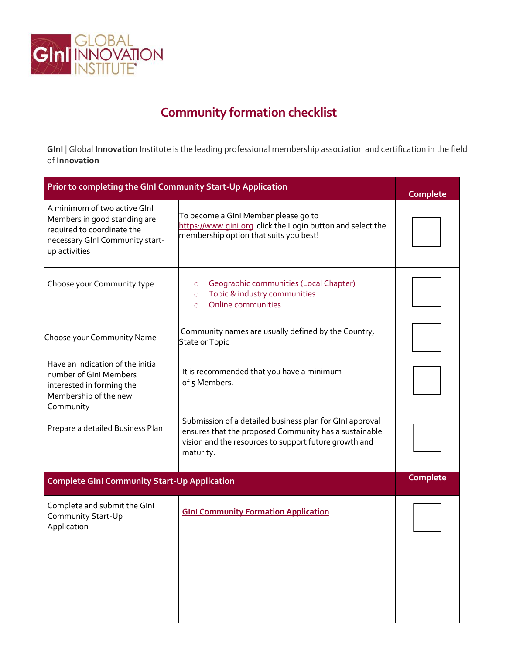

## **Community formation checklist**

**GInI** | Global **Innovation** Institute is the leading professional membership association and certification in the field of **Innovation**

| Prior to completing the GInI Community Start-Up Application                                                                                    |                                                                                                                                                                                         | Complete |
|------------------------------------------------------------------------------------------------------------------------------------------------|-----------------------------------------------------------------------------------------------------------------------------------------------------------------------------------------|----------|
| A minimum of two active Glnl<br>Members in good standing are<br>required to coordinate the<br>necessary GInI Community start-<br>up activities | To become a GInI Member please go to<br>https://www.gini.org click the Login button and select the<br>membership option that suits you best!                                            |          |
| Choose your Community type                                                                                                                     | Geographic communities (Local Chapter)<br>$\circ$<br>Topic & industry communities<br>$\circ$<br>Online communities<br>$\Omega$                                                          |          |
| Choose your Community Name                                                                                                                     | Community names are usually defined by the Country,<br>State or Topic                                                                                                                   |          |
| Have an indication of the initial<br>number of GInI Members<br>interested in forming the<br>Membership of the new<br>Community                 | It is recommended that you have a minimum<br>of 5 Members.                                                                                                                              |          |
| Prepare a detailed Business Plan                                                                                                               | Submission of a detailed business plan for GInI approval<br>ensures that the proposed Community has a sustainable<br>vision and the resources to support future growth and<br>maturity. |          |
| <b>Complete GInI Community Start-Up Application</b>                                                                                            | Complete                                                                                                                                                                                |          |
| Complete and submit the GInI<br>Community Start-Up<br>Application                                                                              | <b>GInl Community Formation Application</b>                                                                                                                                             |          |
|                                                                                                                                                |                                                                                                                                                                                         |          |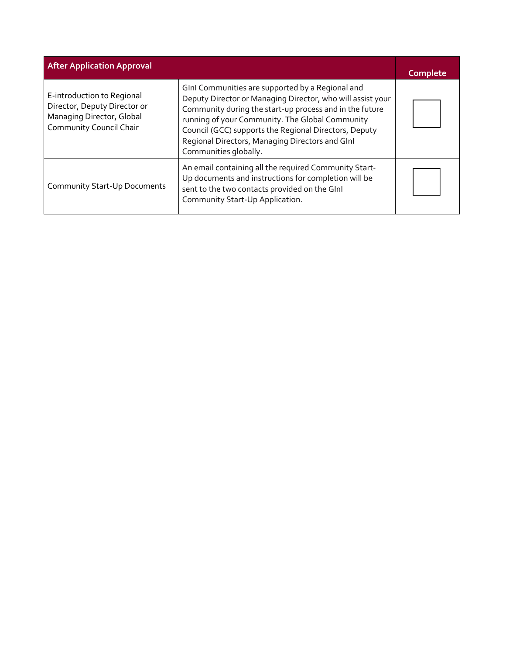| <b>After Application Approval</b>                                                                                         |                                                                                                                                                                                                                                                                                                                                                                   | Complete |
|---------------------------------------------------------------------------------------------------------------------------|-------------------------------------------------------------------------------------------------------------------------------------------------------------------------------------------------------------------------------------------------------------------------------------------------------------------------------------------------------------------|----------|
| E-introduction to Regional<br>Director, Deputy Director or<br>Managing Director, Global<br><b>Community Council Chair</b> | GInI Communities are supported by a Regional and<br>Deputy Director or Managing Director, who will assist your<br>Community during the start-up process and in the future<br>running of your Community. The Global Community<br>Council (GCC) supports the Regional Directors, Deputy<br>Regional Directors, Managing Directors and Glnl<br>Communities globally. |          |
| <b>Community Start-Up Documents</b>                                                                                       | An email containing all the required Community Start-<br>Up documents and instructions for completion will be<br>sent to the two contacts provided on the GInI<br>Community Start-Up Application.                                                                                                                                                                 |          |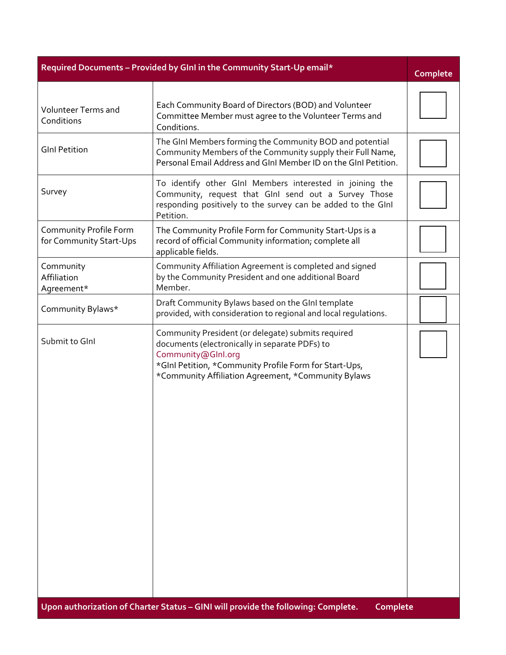| Required Documents - Provided by GInI in the Community Start-Up email* |                                                                                                                                                                                                                                             | Complete |
|------------------------------------------------------------------------|---------------------------------------------------------------------------------------------------------------------------------------------------------------------------------------------------------------------------------------------|----------|
| <b>Volunteer Terms and</b><br>Conditions                               | Each Community Board of Directors (BOD) and Volunteer<br>Committee Member must agree to the Volunteer Terms and<br>Conditions.                                                                                                              |          |
| <b>GInl Petition</b>                                                   | The GInI Members forming the Community BOD and potential<br>Community Members of the Community supply their Full Name,<br>Personal Email Address and GInI Member ID on the GInI Petition.                                                   |          |
| Survey                                                                 | To identify other GInI Members interested in joining the<br>Community, request that GInI send out a Survey Those<br>responding positively to the survey can be added to the GInI<br>Petition.                                               |          |
| Community Profile Form<br>for Community Start-Ups                      | The Community Profile Form for Community Start-Ups is a<br>record of official Community information; complete all<br>applicable fields.                                                                                                     |          |
| Community<br>Affiliation<br>Agreement*                                 | Community Affiliation Agreement is completed and signed<br>by the Community President and one additional Board<br>Member.                                                                                                                   |          |
| Community Bylaws*                                                      | Draft Community Bylaws based on the GInI template<br>provided, with consideration to regional and local regulations.                                                                                                                        |          |
| Submit to GInl                                                         | Community President (or delegate) submits required<br>documents (electronically in separate PDFs) to<br>Community@Glnl.org<br>*GInI Petition, *Community Profile Form for Start-Ups,<br>*Community Affiliation Agreement, *Community Bylaws |          |
|                                                                        | Upon authorization of Charter Status - GINI will provide the following: Complete.<br>Complete                                                                                                                                               |          |